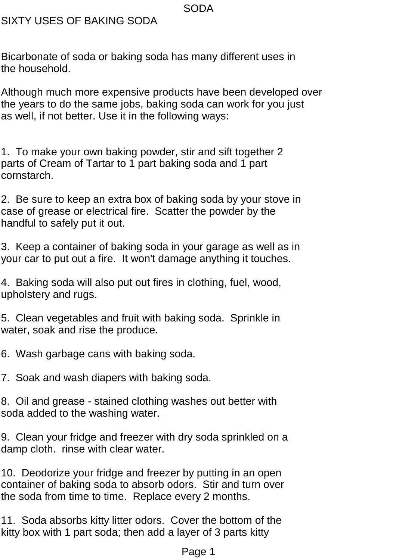SIXTY USES OF BAKING SODA

Bicarbonate of soda or baking soda has many different uses in the household.

Although much more expensive products have been developed over the years to do the same jobs, baking soda can work for you just as well, if not better. Use it in the following ways:

1. To make your own baking powder, stir and sift together 2 parts of Cream of Tartar to 1 part baking soda and 1 part cornstarch.

2. Be sure to keep an extra box of baking soda by your stove in case of grease or electrical fire. Scatter the powder by the handful to safely put it out.

3. Keep a container of baking soda in your garage as well as in your car to put out a fire. It won't damage anything it touches.

4. Baking soda will also put out fires in clothing, fuel, wood, upholstery and rugs.

5. Clean vegetables and fruit with baking soda. Sprinkle in water, soak and rise the produce.

6. Wash garbage cans with baking soda.

7. Soak and wash diapers with baking soda.

8. Oil and grease - stained clothing washes out better with soda added to the washing water.

9. Clean your fridge and freezer with dry soda sprinkled on a damp cloth. rinse with clear water.

10. Deodorize your fridge and freezer by putting in an open container of baking soda to absorb odors. Stir and turn over the soda from time to time. Replace every 2 months.

11. Soda absorbs kitty litter odors. Cover the bottom of the kitty box with 1 part soda; then add a layer of 3 parts kitty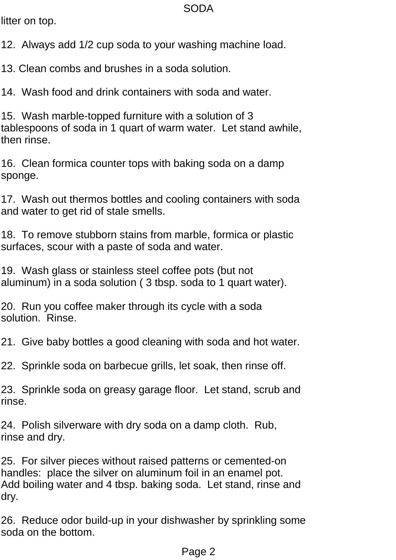litter on top.

12. Always add 1/2 cup soda to your washing machine load.

13. Clean combs and brushes in a soda solution.

14. Wash food and drink containers with soda and water.

15. Wash marble-topped furniture with a solution of 3 tablespoons of soda in 1 quart of warm water. Let stand awhile, then rinse.

16. Clean formica counter tops with baking soda on a damp sponge.

17. Wash out thermos bottles and cooling containers with soda and water to get rid of stale smells.

18. To remove stubborn stains from marble, formica or plastic surfaces, scour with a paste of soda and water.

19. Wash glass or stainless steel coffee pots (but not aluminum) in a soda solution ( 3 tbsp. soda to 1 quart water).

20. Run you coffee maker through its cycle with a soda solution. Rinse.

21. Give baby bottles a good cleaning with soda and hot water.

22. Sprinkle soda on barbecue grills, let soak, then rinse off.

23. Sprinkle soda on greasy garage floor. Let stand, scrub and rinse.

24. Polish silverware with dry soda on a damp cloth. Rub, rinse and dry.

25. For silver pieces without raised patterns or cemented-on handles: place the silver on aluminum foil in an enamel pot. Add boiling water and 4 tbsp. baking soda. Let stand, rinse and dry.

26. Reduce odor build-up in your dishwasher by sprinkling some soda on the bottom.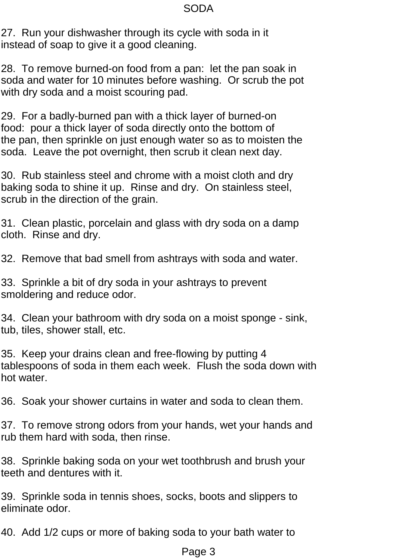27. Run your dishwasher through its cycle with soda in it instead of soap to give it a good cleaning.

28. To remove burned-on food from a pan: let the pan soak in soda and water for 10 minutes before washing. Or scrub the pot with dry soda and a moist scouring pad.

29. For a badly-burned pan with a thick layer of burned-on food: pour a thick layer of soda directly onto the bottom of the pan, then sprinkle on just enough water so as to moisten the soda. Leave the pot overnight, then scrub it clean next day.

30. Rub stainless steel and chrome with a moist cloth and dry baking soda to shine it up. Rinse and dry. On stainless steel, scrub in the direction of the grain.

31. Clean plastic, porcelain and glass with dry soda on a damp cloth. Rinse and dry.

32. Remove that bad smell from ashtrays with soda and water.

33. Sprinkle a bit of dry soda in your ashtrays to prevent smoldering and reduce odor.

34. Clean your bathroom with dry soda on a moist sponge - sink, tub, tiles, shower stall, etc.

35. Keep your drains clean and free-flowing by putting 4 tablespoons of soda in them each week. Flush the soda down with hot water.

36. Soak your shower curtains in water and soda to clean them.

37. To remove strong odors from your hands, wet your hands and rub them hard with soda, then rinse.

38. Sprinkle baking soda on your wet toothbrush and brush your teeth and dentures with it.

39. Sprinkle soda in tennis shoes, socks, boots and slippers to eliminate odor.

40. Add 1/2 cups or more of baking soda to your bath water to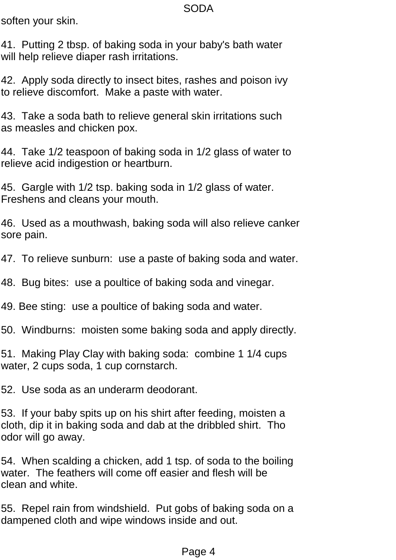soften your skin.

41. Putting 2 tbsp. of baking soda in your baby's bath water will help relieve diaper rash irritations.

42. Apply soda directly to insect bites, rashes and poison ivy to relieve discomfort. Make a paste with water.

43. Take a soda bath to relieve general skin irritations such as measles and chicken pox.

44. Take 1/2 teaspoon of baking soda in 1/2 glass of water to relieve acid indigestion or heartburn.

45. Gargle with 1/2 tsp. baking soda in 1/2 glass of water. Freshens and cleans your mouth.

46. Used as a mouthwash, baking soda will also relieve canker sore pain.

47. To relieve sunburn: use a paste of baking soda and water.

48. Bug bites: use a poultice of baking soda and vinegar.

49. Bee sting: use a poultice of baking soda and water.

50. Windburns: moisten some baking soda and apply directly.

51. Making Play Clay with baking soda: combine 1 1/4 cups water, 2 cups soda, 1 cup cornstarch.

52. Use soda as an underarm deodorant.

53. If your baby spits up on his shirt after feeding, moisten a cloth, dip it in baking soda and dab at the dribbled shirt. Tho odor will go away.

54. When scalding a chicken, add 1 tsp. of soda to the boiling water. The feathers will come off easier and flesh will be clean and white.

55. Repel rain from windshield. Put gobs of baking soda on a dampened cloth and wipe windows inside and out.